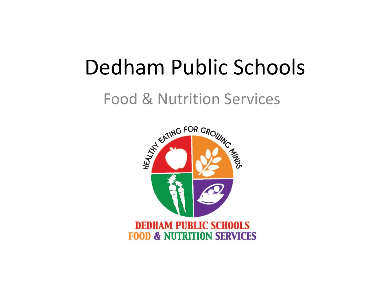## Dedham Public Schools

### Food & Nutrition Services

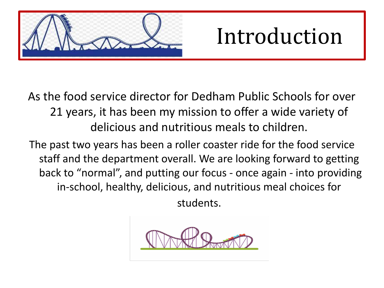

## Introduction

As the food service director for Dedham Public Schools for over 21 years, it has been my mission to offer a wide variety of delicious and nutritious meals to children.

The past two years has been a roller coaster ride for the food service staff and the department overall. We are looking forward to getting back to "normal", and putting our focus - once again - into providing in-school, healthy, delicious, and nutritious meal choices for

students.

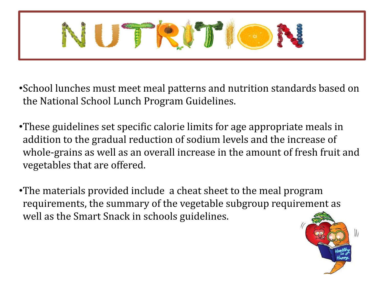

- •School lunches must meet meal patterns and nutrition standards based on the National School Lunch Program Guidelines.
- •These guidelines set specific calorie limits for age appropriate meals in addition to the gradual reduction of sodium levels and the increase of whole-grains as well as an overall increase in the amount of fresh fruit and vegetables that are offered.
- •The materials provided include a cheat sheet to the meal program requirements, the summary of the vegetable subgroup requirement as well as the Smart Snack in schools guidelines.

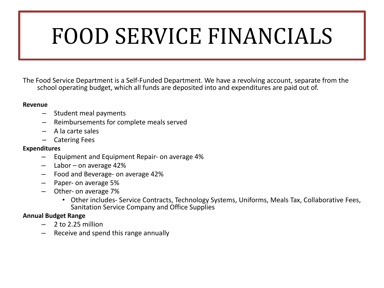# FOOD SERVICE FINANCIALS

The Food Service Department is a Self-Funded Department. We have a revolving account, separate from the school operating budget, which all funds are deposited into and expenditures are paid out of.

#### **Revenue**

- Student meal payments
- Reimbursements for complete meals served
- A la carte sales
- Catering Fees

#### **Expenditures**

- Equipment and Equipment Repair- on average 4%
- Labor on average 42%
- Food and Beverage- on average 42%
- Paper- on average 5%
- Other- on average 7%
	- Other includes- Service Contracts, Technology Systems, Uniforms, Meals Tax, Collaborative Fees, Sanitation Service Company and Office Supplies

#### **Annual Budget Range**

- 2 to 2.25 million
- Receive and spend this range annually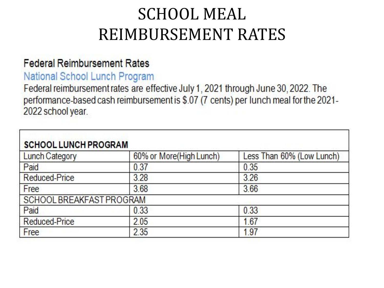### SCHOOL MEAL REIMBURSEMENT RATES

#### **Federal Reimbursement Rates**

#### National School Lunch Program

Federal reimbursement rates are effective July 1, 2021 through June 30, 2022. The performance-based cash reimbursement is \$.07 (7 cents) per lunch meal for the 2021-2022 school year.

| <b>SCHOOL LUNCH PROGRAM</b> |                         |                           |  |  |  |  |  |  |
|-----------------------------|-------------------------|---------------------------|--|--|--|--|--|--|
| <b>Lunch Category</b>       | 60% or More(High Lunch) | Less Than 60% (Low Lunch) |  |  |  |  |  |  |
| Paid                        | 0.37                    | 0.35                      |  |  |  |  |  |  |
| <b>Reduced-Price</b>        | 3.28                    | 3.26                      |  |  |  |  |  |  |
| Free                        | 3.68                    | 3.66                      |  |  |  |  |  |  |
| SCHOOL BREAKFAST PROGRAM    |                         |                           |  |  |  |  |  |  |
| Paid                        | 0.33                    | 0.33                      |  |  |  |  |  |  |
| <b>Reduced-Price</b>        | 2.05                    | 1.67                      |  |  |  |  |  |  |
| Free                        | 2.35                    | 1.97                      |  |  |  |  |  |  |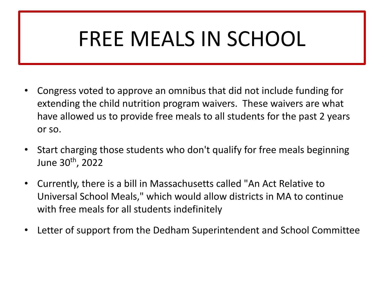## FREE MEALS IN SCHOOL

- Congress voted to approve an omnibus that did not include funding for extending the child nutrition program waivers. These waivers are what have allowed us to provide free meals to all students for the past 2 years or so.
- Start charging those students who don't qualify for free meals beginning June 30<sup>th</sup>, 2022
- Currently, there is a bill in Massachusetts called "An Act Relative to Universal School Meals," which would allow districts in MA to continue with free meals for all students indefinitely
- Letter of support from the Dedham Superintendent and School Committee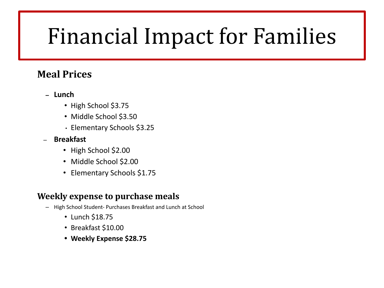# Financial Impact for Families

#### **Meal Prices**

- **– Lunch**
	- High School \$3.75
	- Middle School \$3.50
	- Elementary Schools \$3.25
- **Breakfast**
	- High School \$2.00
	- Middle School \$2.00
	- Elementary Schools \$1.75

#### **Weekly expense to purchase meals**

- High School Student- Purchases Breakfast and Lunch at School
	- Lunch \$18.75
	- Breakfast \$10.00
	- **• Weekly Expense \$28.75**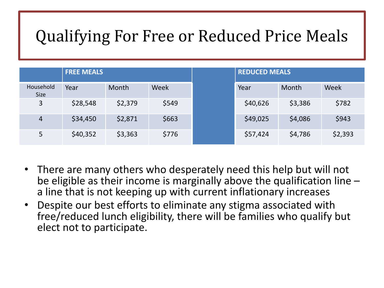### Qualifying For Free or Reduced Price Meals

|                   | <b>FREE MEALS</b> |         |       | <b>REDUCED MEALS</b> |         |         |  |
|-------------------|-------------------|---------|-------|----------------------|---------|---------|--|
| Household<br>Size | Year              | Month   | Week  | Year                 | Month   | Week    |  |
| 3                 | \$28,548          | \$2,379 | \$549 | \$40,626             | \$3,386 | \$782   |  |
| $\overline{4}$    | \$34,450          | \$2,871 | \$663 | \$49,025             | \$4,086 | \$943   |  |
| 5                 | \$40,352          | \$3,363 | \$776 | \$57,424             | \$4,786 | \$2,393 |  |

- There are many others who desperately need this help but will not be eligible as their income is marginally above the qualification line – a line that is not keeping up with current inflationary increases
- Despite our best efforts to eliminate any stigma associated with free/reduced lunch eligibility, there will be families who qualify but elect not to participate.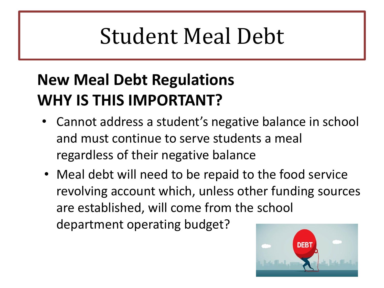# Student Meal Debt

### **New Meal Debt Regulations WHY IS THIS IMPORTANT?**

- Cannot address a student's negative balance in school and must continue to serve students a meal regardless of their negative balance
- Meal debt will need to be repaid to the food service revolving account which, unless other funding sources are established, will come from the school department operating budget?

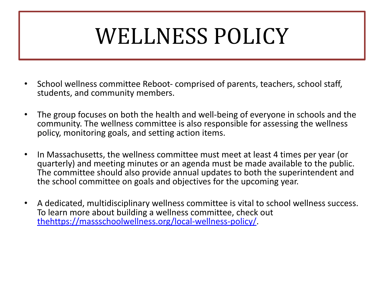# WELLNESS POLICY

- School wellness committee Reboot- comprised of parents, teachers, school staff, students, and community members.
- The group focuses on both the health and well-being of everyone in schools and the community. The wellness committee is also responsible for assessing the wellness policy, monitoring goals, and setting action items.
- In Massachusetts, the wellness committee must meet at least 4 times per year (or quarterly) and meeting minutes or an agenda must be made available to the public. The committee should also provide annual updates to both the superintendent and the school committee on goals and objectives for the upcoming year.
- A dedicated, multidisciplinary wellness committee is vital to school wellness success. To learn more about building a wellness committee, check out [thehttps://massschoolwellness.org/local-wellness-policy/.](https://massschoolwellness.org/local-wellness-policy/)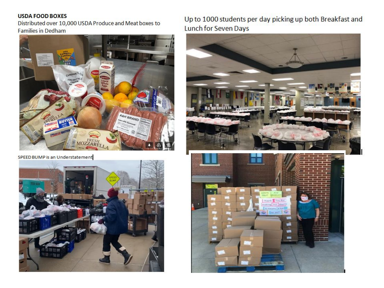#### **USDA FOOD BOXES**

Distributed over 10,000 USDA Produce and Meat boxes to **Families in Dedham** 



SPEED BUMP is an Understatement



Up to 1000 students per day picking up both Breakfast and Lunch for Seven Days

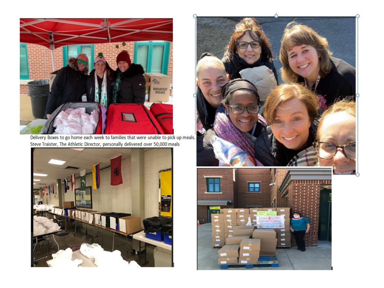

Delivery Boxes to go home each week to families that were unable to pick up meals. Steve Traister, The Athletic Director, personally delivered over 50,000 meals